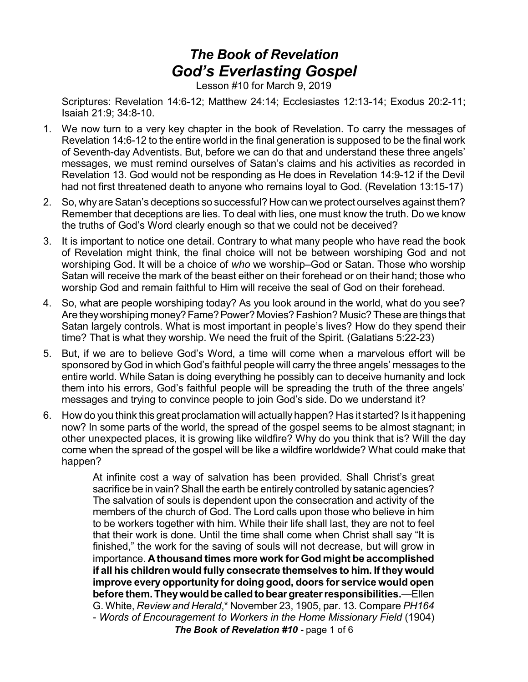# *The Book of Revelation God's Everlasting Gospel*

Lesson #10 for March 9, 2019

Scriptures: Revelation 14:6-12; Matthew 24:14; Ecclesiastes 12:13-14; Exodus 20:2-11; Isaiah 21:9; 34:8-10.

- 1. We now turn to a very key chapter in the book of Revelation. To carry the messages of Revelation 14:6-12 to the entire world in the final generation is supposed to be the final work of Seventh-day Adventists. But, before we can do that and understand these three angels' messages, we must remind ourselves of Satan's claims and his activities as recorded in Revelation 13. God would not be responding as He does in Revelation 14:9-12 if the Devil had not first threatened death to anyone who remains loyal to God. (Revelation 13:15-17)
- 2. So, why are Satan's deceptions so successful? How can we protect ourselves against them? Remember that deceptions are lies. To deal with lies, one must know the truth. Do we know the truths of God's Word clearly enough so that we could not be deceived?
- 3. It is important to notice one detail. Contrary to what many people who have read the book of Revelation might think, the final choice will not be between worshiping God and not worshiping God. It will be a choice of *who* we worship–God or Satan. Those who worship Satan will receive the mark of the beast either on their forehead or on their hand; those who worship God and remain faithful to Him will receive the seal of God on their forehead.
- 4. So, what are people worshiping today? As you look around in the world, what do you see? Are they worshiping money? Fame? Power? Movies? Fashion? Music? These are things that Satan largely controls. What is most important in people's lives? How do they spend their time? That is what they worship. We need the fruit of the Spirit. (Galatians 5:22-23)
- 5. But, if we are to believe God's Word, a time will come when a marvelous effort will be sponsored by God in which God's faithful people will carry the three angels' messages to the entire world. While Satan is doing everything he possibly can to deceive humanity and lock them into his errors, God's faithful people will be spreading the truth of the three angels' messages and trying to convince people to join God's side. Do we understand it?
- 6. How do you think this great proclamation will actually happen? Has it started? Is it happening now? In some parts of the world, the spread of the gospel seems to be almost stagnant; in other unexpected places, it is growing like wildfire? Why do you think that is? Will the day come when the spread of the gospel will be like a wildfire worldwide? What could make that happen?

At infinite cost a way of salvation has been provided. Shall Christ's great sacrifice be in vain? Shall the earth be entirely controlled by satanic agencies? The salvation of souls is dependent upon the consecration and activity of the members of the church of God. The Lord calls upon those who believe in him to be workers together with him. While their life shall last, they are not to feel that their work is done. Until the time shall come when Christ shall say "It is finished," the work for the saving of souls will not decrease, but will grow in importance. **Athousand times more work for God might be accomplished if all his children would fully consecrate themselves to him. If they would improve every opportunity for doing good, doors for service would open before them.Theywouldbe calledtobeargreaterresponsibilities.**—Ellen G. White, *Review and Herald*,\* November 23, 1905, par. 13*.* Compare *PH164* - *Words of Encouragement to Workers in the Home Missionary Field* (1904) *The Book of Revelation #10* **-** page 1 of 6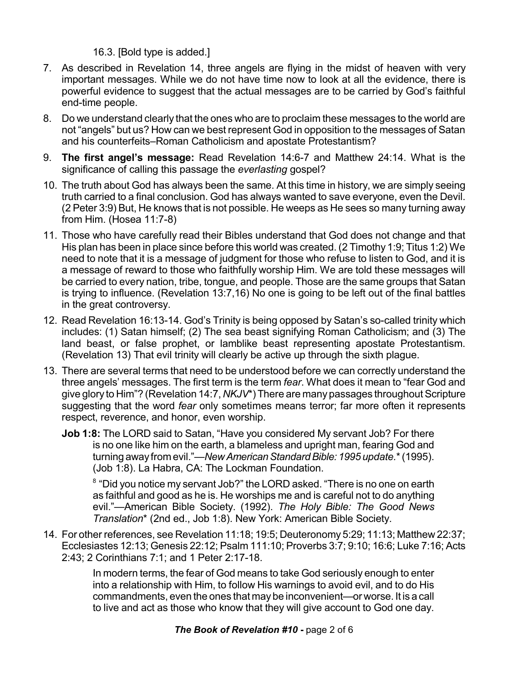## 16.3. [Bold type is added.]

- 7. As described in Revelation 14, three angels are flying in the midst of heaven with very important messages. While we do not have time now to look at all the evidence, there is powerful evidence to suggest that the actual messages are to be carried by God's faithful end-time people.
- 8. Do we understand clearly that the ones who are to proclaim these messages to the world are not "angels" but us? How can we best represent God in opposition to the messages of Satan and his counterfeits–Roman Catholicism and apostate Protestantism?
- 9. **The first angel's message:** Read Revelation 14:6-7 and Matthew 24:14. What is the significance of calling this passage the *everlasting* gospel?
- 10. The truth about God has always been the same. At this time in history, we are simply seeing truth carried to a final conclusion. God has always wanted to save everyone, even the Devil. (2 Peter 3:9) But, He knows that is not possible. He weeps as He sees so many turning away from Him. (Hosea 11:7-8)
- 11. Those who have carefully read their Bibles understand that God does not change and that His plan has been in place since before this world was created. (2 Timothy 1:9; Titus 1:2) We need to note that it is a message of judgment for those who refuse to listen to God, and it is a message of reward to those who faithfully worship Him. We are told these messages will be carried to every nation, tribe, tongue, and people. Those are the same groups that Satan is trying to influence. (Revelation 13:7,16) No one is going to be left out of the final battles in the great controversy.
- 12. Read Revelation 16:13-14. God's Trinity is being opposed by Satan's so-called trinity which includes: (1) Satan himself; (2) The sea beast signifying Roman Catholicism; and (3) The land beast, or false prophet, or lamblike beast representing apostate Protestantism. (Revelation 13) That evil trinity will clearly be active up through the sixth plague.
- 13. There are several terms that need to be understood before we can correctly understand the three angels' messages. The first term is the term *fear*. What does it mean to "fear God and give glory to Him"? (Revelation 14:7, *NKJV*\*) There are many passages throughout Scripture suggesting that the word *fear* only sometimes means terror; far more often it represents respect, reverence, and honor, even worship.
	- **Job 1:8:** The LORD said to Satan, "Have you considered My servant Job? For there is no one like him on the earth, a blameless and upright man, fearing God and turning away from evil."—New American Standard Bible: 1995 update.\* (1995). (Job 1:8). La Habra, CA: The Lockman Foundation.

 $^8$  "Did you notice my servant Job?" the LORD asked. "There is no one on earth as faithful and good as he is. He worships me and is careful not to do anything evil."—American Bible Society. (1992). *The Holy Bible: The Good News Translation*\* (2nd ed., Job 1:8). New York: American Bible Society.

14. For other references, see Revelation 11:18; 19:5; Deuteronomy 5:29; 11:13; Matthew 22:37; Ecclesiastes 12:13; Genesis 22:12; Psalm 111:10; Proverbs 3:7; 9:10; 16:6; Luke 7:16; Acts 2:43; 2 Corinthians 7:1; and 1 Peter 2:17-18.

> In modern terms, the fear of God means to take God seriously enough to enter into a relationship with Him, to follow His warnings to avoid evil, and to do His commandments, even the ones that may be inconvenient—or worse. It is a call to live and act as those who know that they will give account to God one day.

## *The Book of Revelation #10* **-** page 2 of 6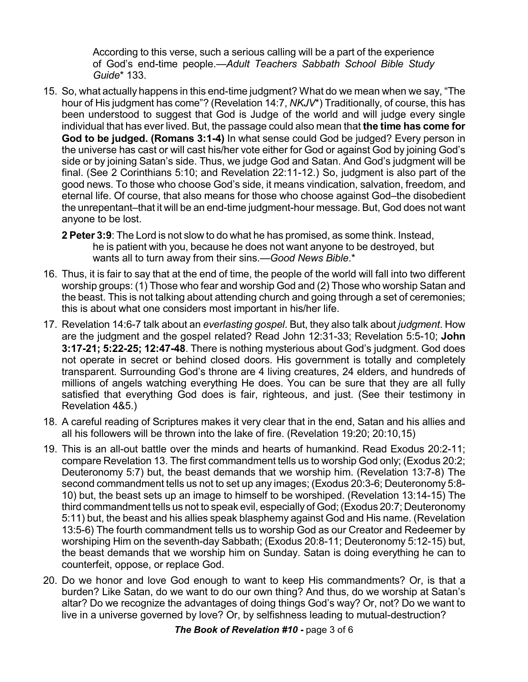According to this verse, such a serious calling will be a part of the experience of God's end-time people.—*Adult Teachers Sabbath School Bible Study Guide*\* 133.

- 15. So, what actually happens in this end-time judgment? What do we mean when we say, "The hour of His judgment has come"? (Revelation 14:7, *NKJV*\*) Traditionally, of course, this has been understood to suggest that God is Judge of the world and will judge every single individual that has ever lived. But, the passage could also mean that **the time has come for God to be judged. (Romans 3:1-4)** In what sense could God be judged? Every person in the universe has cast or will cast his/her vote either for God or against God by joining God's side or by joining Satan's side. Thus, we judge God and Satan. And God's judgment will be final. (See 2 Corinthians 5:10; and Revelation 22:11-12.) So, judgment is also part of the good news. To those who choose God's side, it means vindication, salvation, freedom, and eternal life. Of course, that also means for those who choose against God–the disobedient the unrepentant–that it will be an end-time judgment-hour message. But, God does not want anyone to be lost.
	- **2 Peter 3:9**: The Lord is not slow to do what he has promised, as some think. Instead, he is patient with you, because he does not want anyone to be destroyed, but wants all to turn away from their sins.—*Good News Bible*.\*
- 16. Thus, it is fair to say that at the end of time, the people of the world will fall into two different worship groups: (1) Those who fear and worship God and (2) Those who worship Satan and the beast. This is not talking about attending church and going through a set of ceremonies; this is about what one considers most important in his/her life.
- 17. Revelation 14:6-7 talk about an *everlasting gospel*. But, they also talk about *judgment*. How are the judgment and the gospel related? Read John 12:31-33; Revelation 5:5-10; **John 3:17-21; 5:22-25; 12:47-48**. There is nothing mysterious about God's judgment. God does not operate in secret or behind closed doors. His government is totally and completely transparent. Surrounding God's throne are 4 living creatures, 24 elders, and hundreds of millions of angels watching everything He does. You can be sure that they are all fully satisfied that everything God does is fair, righteous, and just. (See their testimony in Revelation 4&5.)
- 18. A careful reading of Scriptures makes it very clear that in the end, Satan and his allies and all his followers will be thrown into the lake of fire. (Revelation 19:20; 20:10,15)
- 19. This is an all-out battle over the minds and hearts of humankind. Read Exodus 20:2-11; compare Revelation 13. The first commandment tells us to worship God only; (Exodus 20:2; Deuteronomy 5:7) but, the beast demands that we worship him. (Revelation 13:7-8) The second commandment tells us not to set up any images; (Exodus 20:3-6; Deuteronomy 5:8- 10) but, the beast sets up an image to himself to be worshiped. (Revelation 13:14-15) The third commandment tells us not to speak evil, especially of God; (Exodus 20:7; Deuteronomy 5:11) but, the beast and his allies speak blasphemy against God and His name. (Revelation 13:5-6) The fourth commandment tells us to worship God as our Creator and Redeemer by worshiping Him on the seventh-day Sabbath; (Exodus 20:8-11; Deuteronomy 5:12-15) but, the beast demands that we worship him on Sunday. Satan is doing everything he can to counterfeit, oppose, or replace God.
- 20. Do we honor and love God enough to want to keep His commandments? Or, is that a burden? Like Satan, do we want to do our own thing? And thus, do we worship at Satan's altar? Do we recognize the advantages of doing things God's way? Or, not? Do we want to live in a universe governed by love? Or, by selfishness leading to mutual-destruction?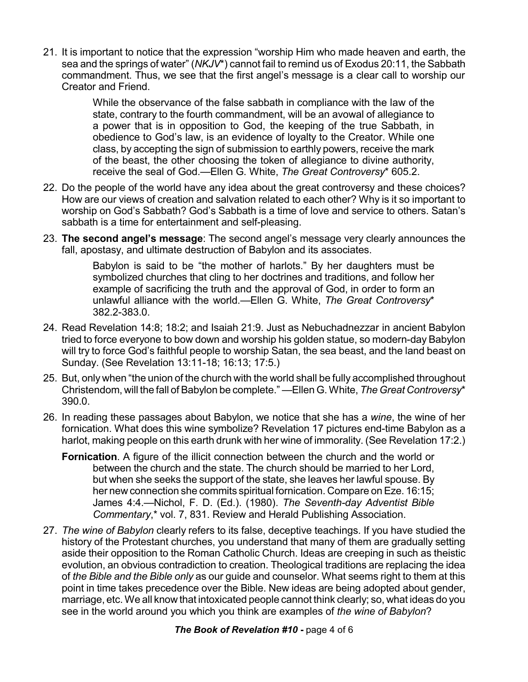21. It is important to notice that the expression "worship Him who made heaven and earth, the sea and the springs of water" (*NKJV*\*) cannot fail to remind us of Exodus 20:11, the Sabbath commandment. Thus, we see that the first angel's message is a clear call to worship our Creator and Friend.

> While the observance of the false sabbath in compliance with the law of the state, contrary to the fourth commandment, will be an avowal of allegiance to a power that is in opposition to God, the keeping of the true Sabbath, in obedience to God's law, is an evidence of loyalty to the Creator. While one class, by accepting the sign of submission to earthly powers, receive the mark of the beast, the other choosing the token of allegiance to divine authority, receive the seal of God.—Ellen G. White, *The Great Controversy*\* 605.2.

- 22. Do the people of the world have any idea about the great controversy and these choices? How are our views of creation and salvation related to each other? Why is it so important to worship on God's Sabbath? God's Sabbath is a time of love and service to others. Satan's sabbath is a time for entertainment and self-pleasing.
- 23. **The second angel's message**: The second angel's message very clearly announces the fall, apostasy, and ultimate destruction of Babylon and its associates.

Babylon is said to be "the mother of harlots." By her daughters must be symbolized churches that cling to her doctrines and traditions, and follow her example of sacrificing the truth and the approval of God, in order to form an unlawful alliance with the world.—Ellen G. White, *The Great Controversy*\* 382.2-383.0.

- 24. Read Revelation 14:8; 18:2; and Isaiah 21:9. Just as Nebuchadnezzar in ancient Babylon tried to force everyone to bow down and worship his golden statue, so modern-day Babylon will try to force God's faithful people to worship Satan, the sea beast, and the land beast on Sunday. (See Revelation 13:11-18; 16:13; 17:5.)
- 25. But, only when "the union of the church with the world shall be fully accomplished throughout Christendom, will the fall of Babylon be complete." —Ellen G. White, *The Great Controversy*\* 390.0.
- 26. In reading these passages about Babylon, we notice that she has a *wine*, the wine of her fornication. What does this wine symbolize? Revelation 17 pictures end-time Babylon as a harlot, making people on this earth drunk with her wine of immorality. (See Revelation 17:2.)
	- **Fornication**. A figure of the illicit connection between the church and the world or between the church and the state. The church should be married to her Lord, but when she seeks the support of the state, she leaves her lawful spouse. By her new connection she commits spiritual fornication. Compare on Eze. 16:15; James 4:4.—Nichol, F. D. (Ed.). (1980). *The Seventh-day Adventist Bible Commentary*,\* vol. 7, 831. Review and Herald Publishing Association.
- 27. *The wine of Babylon* clearly refers to its false, deceptive teachings. If you have studied the history of the Protestant churches, you understand that many of them are gradually setting aside their opposition to the Roman Catholic Church. Ideas are creeping in such as theistic evolution, an obvious contradiction to creation. Theological traditions are replacing the idea of *the Bible and the Bible only* as our guide and counselor. What seems right to them at this point in time takes precedence over the Bible. New ideas are being adopted about gender, marriage, etc. We all know that intoxicated people cannot think clearly; so, what ideas do you see in the world around you which you think are examples of *the wine of Babylon*?

#### *The Book of Revelation #10* **-** page 4 of 6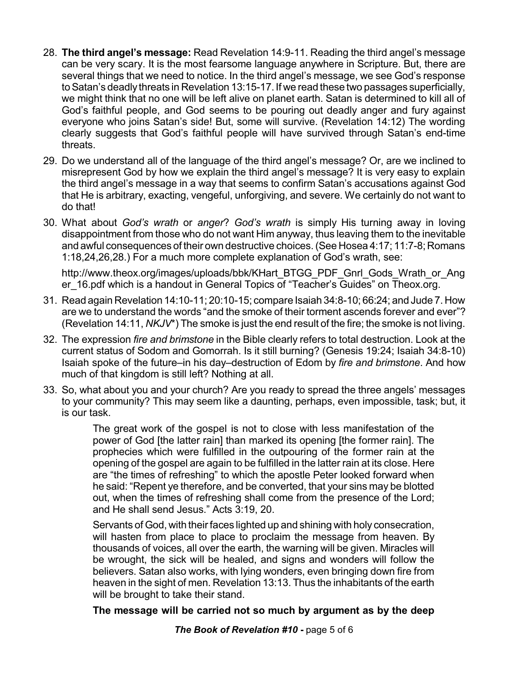- 28. **The third angel's message:** Read Revelation 14:9-11. Reading the third angel's message can be very scary. It is the most fearsome language anywhere in Scripture. But, there are several things that we need to notice. In the third angel's message, we see God's response to Satan's deadly threats in Revelation 13:15-17. If we read these two passages superficially, we might think that no one will be left alive on planet earth. Satan is determined to kill all of God's faithful people, and God seems to be pouring out deadly anger and fury against everyone who joins Satan's side! But, some will survive. (Revelation 14:12) The wording clearly suggests that God's faithful people will have survived through Satan's end-time threats.
- 29. Do we understand all of the language of the third angel's message? Or, are we inclined to misrepresent God by how we explain the third angel's message? It is very easy to explain the third angel's message in a way that seems to confirm Satan's accusations against God that He is arbitrary, exacting, vengeful, unforgiving, and severe. We certainly do not want to do that!
- 30. What about *God's wrath* or *anger*? *God's wrath* is simply His turning away in loving disappointment from those who do not want Him anyway, thus leaving them to the inevitable and awful consequences of their own destructive choices.(See Hosea 4:17; 11:7-8; Romans 1:18,24,26,28.) For a much more complete explanation of God's wrath, see:

http://www.theox.org/images/uploads/bbk/KHart\_BTGG\_PDF\_Gnrl\_Gods\_Wrath\_or\_Ang er 16.pdf which is a handout in General Topics of "Teacher's Guides" on Theox.org.

- 31. Read again Revelation 14:10-11; 20:10-15; compare Isaiah 34:8-10; 66:24; and Jude 7. How are we to understand the words "and the smoke of their torment ascends forever and ever"? (Revelation 14:11, *NKJV*\*) The smoke is just the end result of the fire; the smoke is not living.
- 32. The expression *fire and brimstone* in the Bible clearly refers to total destruction. Look at the current status of Sodom and Gomorrah. Is it still burning? (Genesis 19:24; Isaiah 34:8-10) Isaiah spoke of the future–in his day–destruction of Edom by *fire and brimstone*. And how much of that kingdom is still left? Nothing at all.
- 33. So, what about you and your church? Are you ready to spread the three angels' messages to your community? This may seem like a daunting, perhaps, even impossible, task; but, it is our task.

The great work of the gospel is not to close with less manifestation of the power of God [the latter rain] than marked its opening [the former rain]. The prophecies which were fulfilled in the outpouring of the former rain at the opening of the gospel are again to be fulfilled in the latter rain at its close. Here are "the times of refreshing" to which the apostle Peter looked forward when he said: "Repent ye therefore, and be converted, that your sins may be blotted out, when the times of refreshing shall come from the presence of the Lord; and He shall send Jesus." Acts 3:19, 20.

Servants of God, with their faces lighted up and shining with holy consecration, will hasten from place to place to proclaim the message from heaven. By thousands of voices, all over the earth, the warning will be given. Miracles will be wrought, the sick will be healed, and signs and wonders will follow the believers. Satan also works, with lying wonders, even bringing down fire from heaven in the sight of men. Revelation 13:13. Thus the inhabitants of the earth will be brought to take their stand.

#### **The message will be carried not so much by argument as by the deep**

*The Book of Revelation #10* **-** page 5 of 6